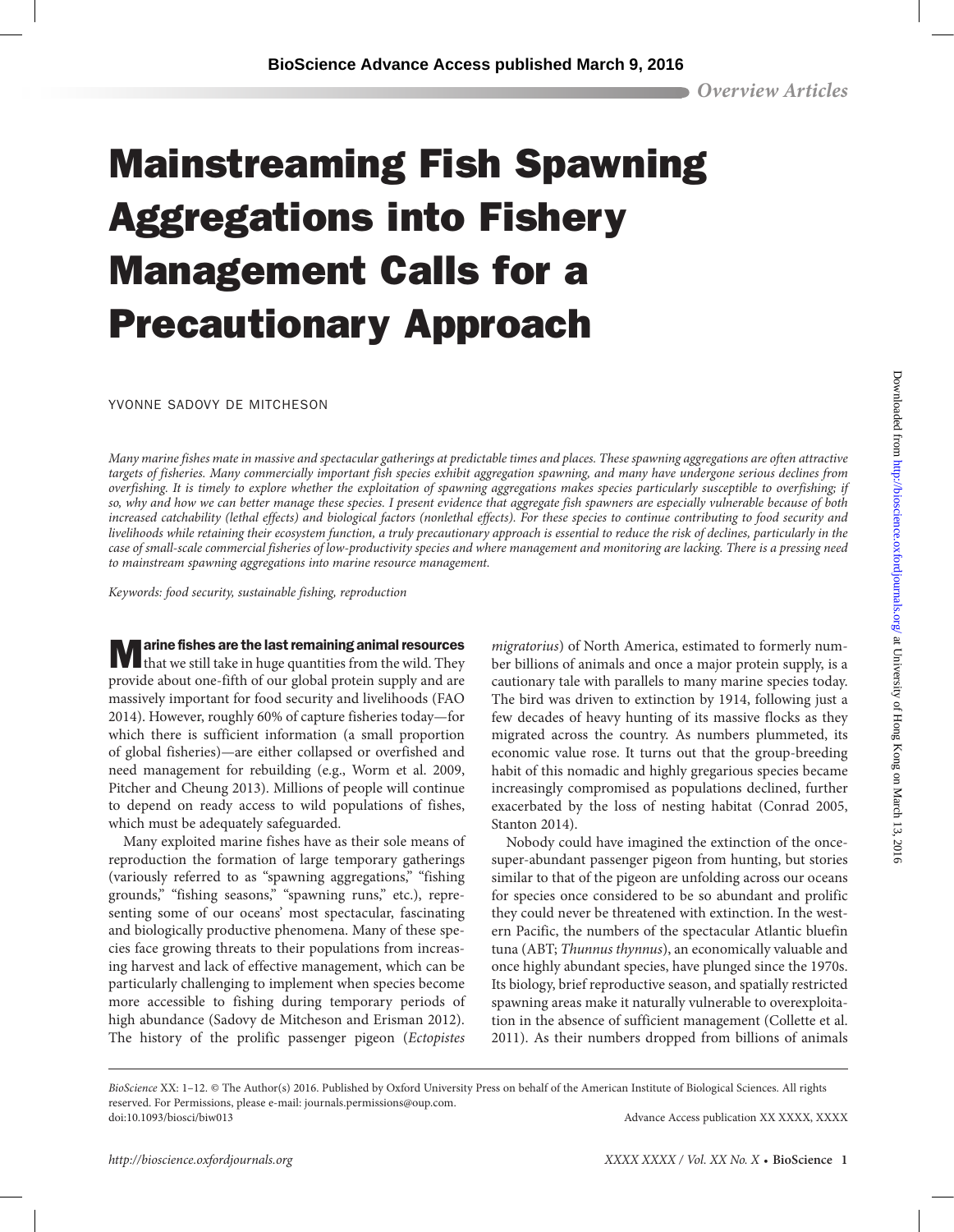*Overview Articles*

# Mainstreaming Fish Spawning Aggregations into Fishery Management Calls for a Precautionary Approach

YVONNE SADOVY DE MITCHESON

*Many marine fishes mate in massive and spectacular gatherings at predictable times and places. These spawning aggregations are often attractive targets of fisheries. Many commercially important fish species exhibit aggregation spawning, and many have undergone serious declines from overfishing. It is timely to explore whether the exploitation of spawning aggregations makes species particularly susceptible to overfishing; if so, why and how we can better manage these species. I present evidence that aggregate fish spawners are especially vulnerable because of both increased catchability (lethal effects) and biological factors (nonlethal effects). For these species to continue contributing to food security and livelihoods while retaining their ecosystem function, a truly precautionary approach is essential to reduce the risk of declines, particularly in the case of small-scale commercial fisheries of low-productivity species and where management and monitoring are lacking. There is a pressing need to mainstream spawning aggregations into marine resource management.*

*Keywords: food security, sustainable fishing, reproduction*

**Marine fishes are the last remaining animal resources** that we still take in huge quantities from the wild. They provide about one-fifth of our global protein supply and are massively important for food security and livelihoods (FAO 2014). However, roughly 60% of capture fisheries today—for which there is sufficient information (a small proportion of global fisheries)—are either collapsed or overfished and need management for rebuilding (e.g., Worm et al. 2009, Pitcher and Cheung 2013). Millions of people will continue to depend on ready access to wild populations of fishes, which must be adequately safeguarded.

Many exploited marine fishes have as their sole means of reproduction the formation of large temporary gatherings (variously referred to as "spawning aggregations," "fishing grounds," "fishing seasons," "spawning runs," etc.), representing some of our oceans' most spectacular, fascinating and biologically productive phenomena. Many of these species face growing threats to their populations from increasing harvest and lack of effective management, which can be particularly challenging to implement when species become more accessible to fishing during temporary periods of high abundance (Sadovy de Mitcheson and Erisman 2012). The history of the prolific passenger pigeon (*Ectopistes*  *migratorius*) of North America, estimated to formerly number billions of animals and once a major protein supply, is a cautionary tale with parallels to many marine species today. The bird was driven to extinction by 1914, following just a few decades of heavy hunting of its massive flocks as they migrated across the country. As numbers plummeted, its economic value rose. It turns out that the group-breeding habit of this nomadic and highly gregarious species became increasingly compromised as populations declined, further exacerbated by the loss of nesting habitat (Conrad 2005, Stanton 2014).

Nobody could have imagined the extinction of the oncesuper-abundant passenger pigeon from hunting, but stories similar to that of the pigeon are unfolding across our oceans for species once considered to be so abundant and prolific they could never be threatened with extinction. In the western Pacific, the numbers of the spectacular Atlantic bluefin tuna (ABT; *Thunnus thynnus*), an economically valuable and once highly abundant species, have plunged since the 1970s. Its biology, brief reproductive season, and spatially restricted spawning areas make it naturally vulnerable to overexploitation in the absence of sufficient management (Collette et al. 2011). As their numbers dropped from billions of animals

*BioScience* XX: 1–12. © The Author(s) 2016. Published by Oxford University Press on behalf of the American Institute of Biological Sciences. All rights reserved. For Permissions, please e-mail: journals.permissions@oup.com. doi:10.1093/biosci/biw013 Advance Access publication XX XXXX, XXXX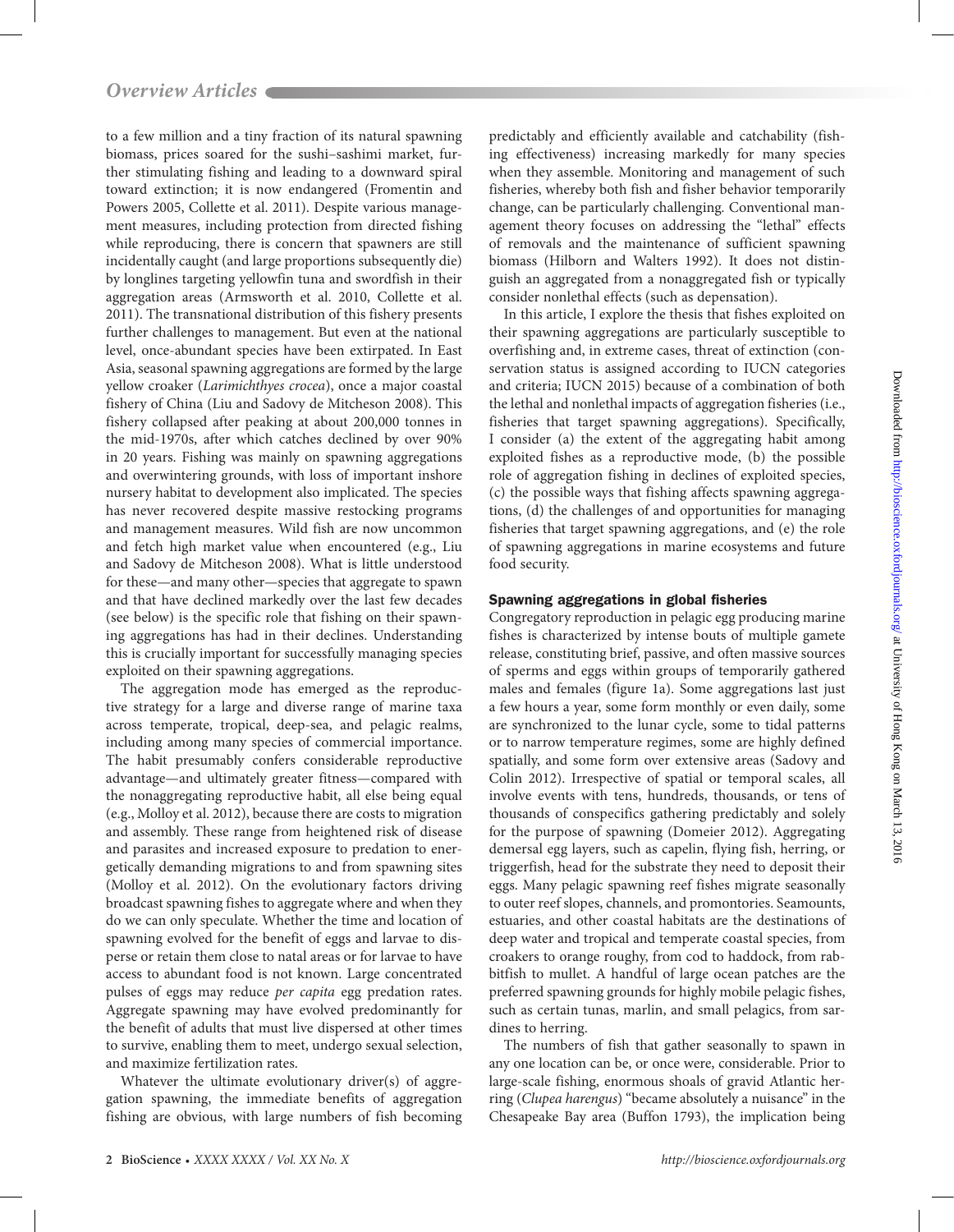to a few million and a tiny fraction of its natural spawning biomass, prices soared for the sushi–sashimi market, further stimulating fishing and leading to a downward spiral toward extinction; it is now endangered (Fromentin and Powers 2005, Collette et al. 2011). Despite various management measures, including protection from directed fishing while reproducing, there is concern that spawners are still incidentally caught (and large proportions subsequently die) by longlines targeting yellowfin tuna and swordfish in their aggregation areas (Armsworth et al. 2010, Collette et al. 2011). The transnational distribution of this fishery presents further challenges to management. But even at the national level, once-abundant species have been extirpated. In East Asia, seasonal spawning aggregations are formed by the large yellow croaker (*Larimichthyes crocea*), once a major coastal fishery of China (Liu and Sadovy de Mitcheson 2008). This fishery collapsed after peaking at about 200,000 tonnes in the mid-1970s, after which catches declined by over 90% in 20 years. Fishing was mainly on spawning aggregations and overwintering grounds, with loss of important inshore nursery habitat to development also implicated. The species has never recovered despite massive restocking programs and management measures. Wild fish are now uncommon and fetch high market value when encountered (e.g., Liu and Sadovy de Mitcheson 2008). What is little understood for these—and many other—species that aggregate to spawn and that have declined markedly over the last few decades (see below) is the specific role that fishing on their spawning aggregations has had in their declines. Understanding this is crucially important for successfully managing species exploited on their spawning aggregations.

The aggregation mode has emerged as the reproductive strategy for a large and diverse range of marine taxa across temperate, tropical, deep-sea, and pelagic realms, including among many species of commercial importance. The habit presumably confers considerable reproductive advantage—and ultimately greater fitness—compared with the nonaggregating reproductive habit, all else being equal (e.g., Molloy et al. 2012), because there are costs to migration and assembly. These range from heightened risk of disease and parasites and increased exposure to predation to energetically demanding migrations to and from spawning sites (Molloy et al. 2012). On the evolutionary factors driving broadcast spawning fishes to aggregate where and when they do we can only speculate. Whether the time and location of spawning evolved for the benefit of eggs and larvae to disperse or retain them close to natal areas or for larvae to have access to abundant food is not known. Large concentrated pulses of eggs may reduce *per capita* egg predation rates. Aggregate spawning may have evolved predominantly for the benefit of adults that must live dispersed at other times to survive, enabling them to meet, undergo sexual selection, and maximize fertilization rates.

Whatever the ultimate evolutionary driver(s) of aggregation spawning, the immediate benefits of aggregation fishing are obvious, with large numbers of fish becoming predictably and efficiently available and catchability (fishing effectiveness) increasing markedly for many species when they assemble. Monitoring and management of such fisheries, whereby both fish and fisher behavior temporarily change, can be particularly challenging*.* Conventional management theory focuses on addressing the "lethal" effects of removals and the maintenance of sufficient spawning biomass (Hilborn and Walters 1992). It does not distinguish an aggregated from a nonaggregated fish or typically consider nonlethal effects (such as depensation).

In this article, I explore the thesis that fishes exploited on their spawning aggregations are particularly susceptible to overfishing and, in extreme cases, threat of extinction (conservation status is assigned according to IUCN categories and criteria; IUCN 2015) because of a combination of both the lethal and nonlethal impacts of aggregation fisheries (i.e., fisheries that target spawning aggregations). Specifically, I consider (a) the extent of the aggregating habit among exploited fishes as a reproductive mode, (b) the possible role of aggregation fishing in declines of exploited species, (c) the possible ways that fishing affects spawning aggregations, (d) the challenges of and opportunities for managing fisheries that target spawning aggregations, and (e) the role of spawning aggregations in marine ecosystems and future food security.

#### Spawning aggregations in global fisheries

Congregatory reproduction in pelagic egg producing marine fishes is characterized by intense bouts of multiple gamete release, constituting brief, passive, and often massive sources of sperms and eggs within groups of temporarily gathered males and females (figure 1a). Some aggregations last just a few hours a year, some form monthly or even daily, some are synchronized to the lunar cycle, some to tidal patterns or to narrow temperature regimes, some are highly defined spatially, and some form over extensive areas (Sadovy and Colin 2012). Irrespective of spatial or temporal scales, all involve events with tens, hundreds, thousands, or tens of thousands of conspecifics gathering predictably and solely for the purpose of spawning (Domeier 2012). Aggregating demersal egg layers, such as capelin, flying fish, herring, or triggerfish, head for the substrate they need to deposit their eggs. Many pelagic spawning reef fishes migrate seasonally to outer reef slopes, channels, and promontories. Seamounts, estuaries, and other coastal habitats are the destinations of deep water and tropical and temperate coastal species, from croakers to orange roughy, from cod to haddock, from rabbitfish to mullet. A handful of large ocean patches are the preferred spawning grounds for highly mobile pelagic fishes, such as certain tunas, marlin, and small pelagics, from sardines to herring.

The numbers of fish that gather seasonally to spawn in any one location can be, or once were, considerable. Prior to large-scale fishing, enormous shoals of gravid Atlantic herring (*Clupea harengus*) "became absolutely a nuisance" in the Chesapeake Bay area (Buffon 1793), the implication being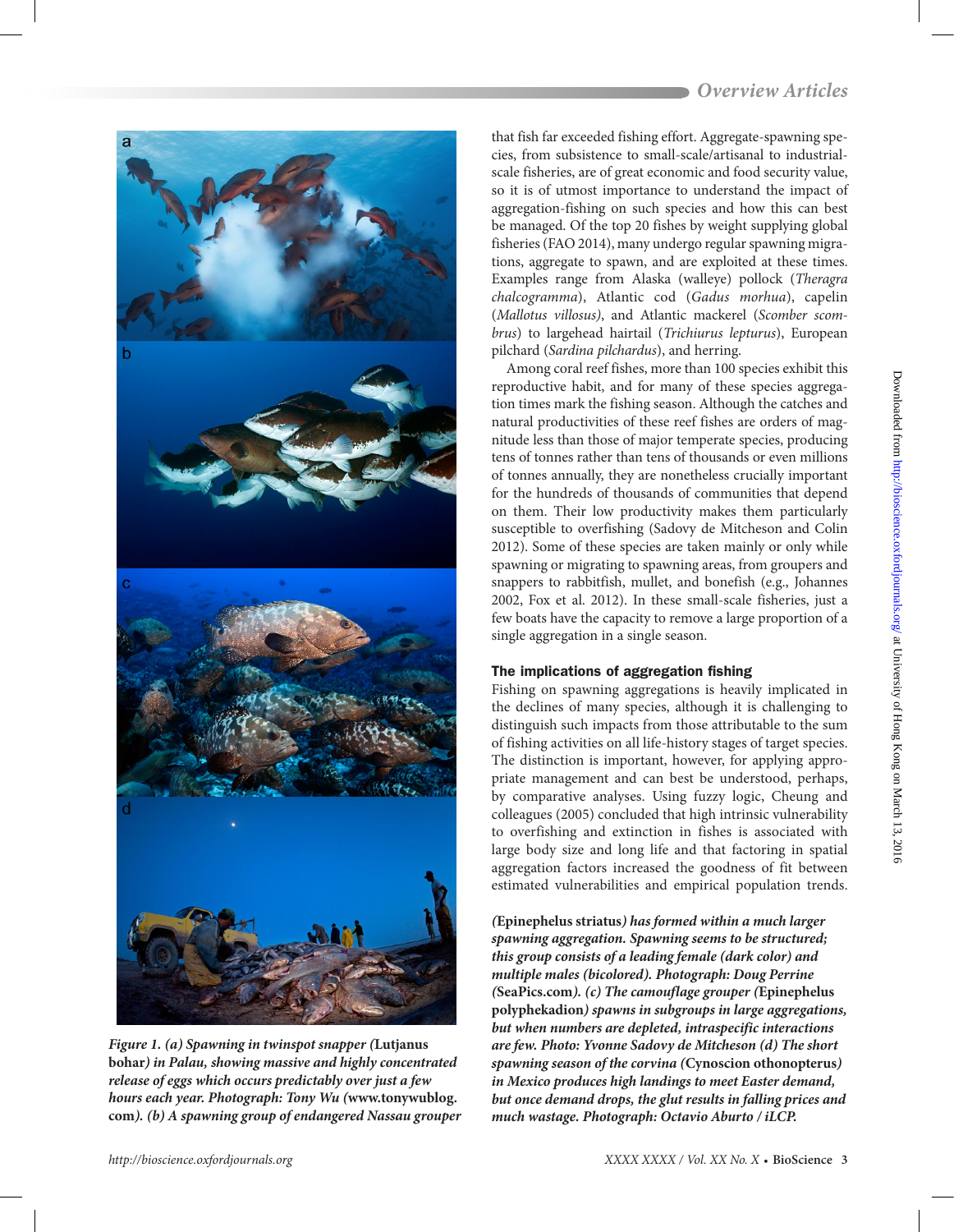# *Overview Articles*



*Figure 1. (a) Spawning in twinspot snapper (***Lutjanus bohar***) in Palau, showing massive and highly concentrated release of eggs which occurs predictably over just a few hours each year. Photograph: Tony Wu (***www.tonywublog. com***). (b) A spawning group of endangered Nassau grouper* 

that fish far exceeded fishing effort. Aggregate-spawning species, from subsistence to small-scale/artisanal to industrialscale fisheries, are of great economic and food security value, so it is of utmost importance to understand the impact of aggregation-fishing on such species and how this can best be managed. Of the top 20 fishes by weight supplying global fisheries (FAO 2014), many undergo regular spawning migrations, aggregate to spawn, and are exploited at these times. Examples range from Alaska (walleye) pollock (*Theragra chalcogramma*), Atlantic cod (*Gadus morhua*), capelin (*Mallotus villosus)*, and Atlantic mackerel (*Scomber scombrus*) to largehead hairtail (*Trichiurus lepturus*), European pilchard (*Sardina pilchardus*), and herring.

Among coral reef fishes, more than 100 species exhibit this reproductive habit, and for many of these species aggregation times mark the fishing season. Although the catches and natural productivities of these reef fishes are orders of magnitude less than those of major temperate species, producing tens of tonnes rather than tens of thousands or even millions of tonnes annually, they are nonetheless crucially important for the hundreds of thousands of communities that depend on them. Their low productivity makes them particularly susceptible to overfishing (Sadovy de Mitcheson and Colin 2012). Some of these species are taken mainly or only while spawning or migrating to spawning areas, from groupers and snappers to rabbitfish, mullet, and bonefish (e.g., Johannes 2002, Fox et al. 2012). In these small-scale fisheries, just a few boats have the capacity to remove a large proportion of a single aggregation in a single season.

# The implications of aggregation fishing

Fishing on spawning aggregations is heavily implicated in the declines of many species, although it is challenging to distinguish such impacts from those attributable to the sum of fishing activities on all life-history stages of target species. The distinction is important, however, for applying appropriate management and can best be understood, perhaps, by comparative analyses. Using fuzzy logic, Cheung and colleagues (2005) concluded that high intrinsic vulnerability to overfishing and extinction in fishes is associated with large body size and long life and that factoring in spatial aggregation factors increased the goodness of fit between estimated vulnerabilities and empirical population trends.

*(***Epinephelus striatus***) has formed within a much larger spawning aggregation. Spawning seems to be structured; this group consists of a leading female (dark color) and multiple males (bicolored). Photograph: Doug Perrine (***SeaPics.com***). (c) The camouflage grouper (***Epinephelus polyphekadion***) spawns in subgroups in large aggregations, but when numbers are depleted, intraspecific interactions are few. Photo: Yvonne Sadovy de Mitcheson (d) The short spawning season of the corvina (***Cynoscion othonopterus***) in Mexico produces high landings to meet Easter demand, but once demand drops, the glut results in falling prices and much wastage. Photograph: Octavio Aburto / iLCP.*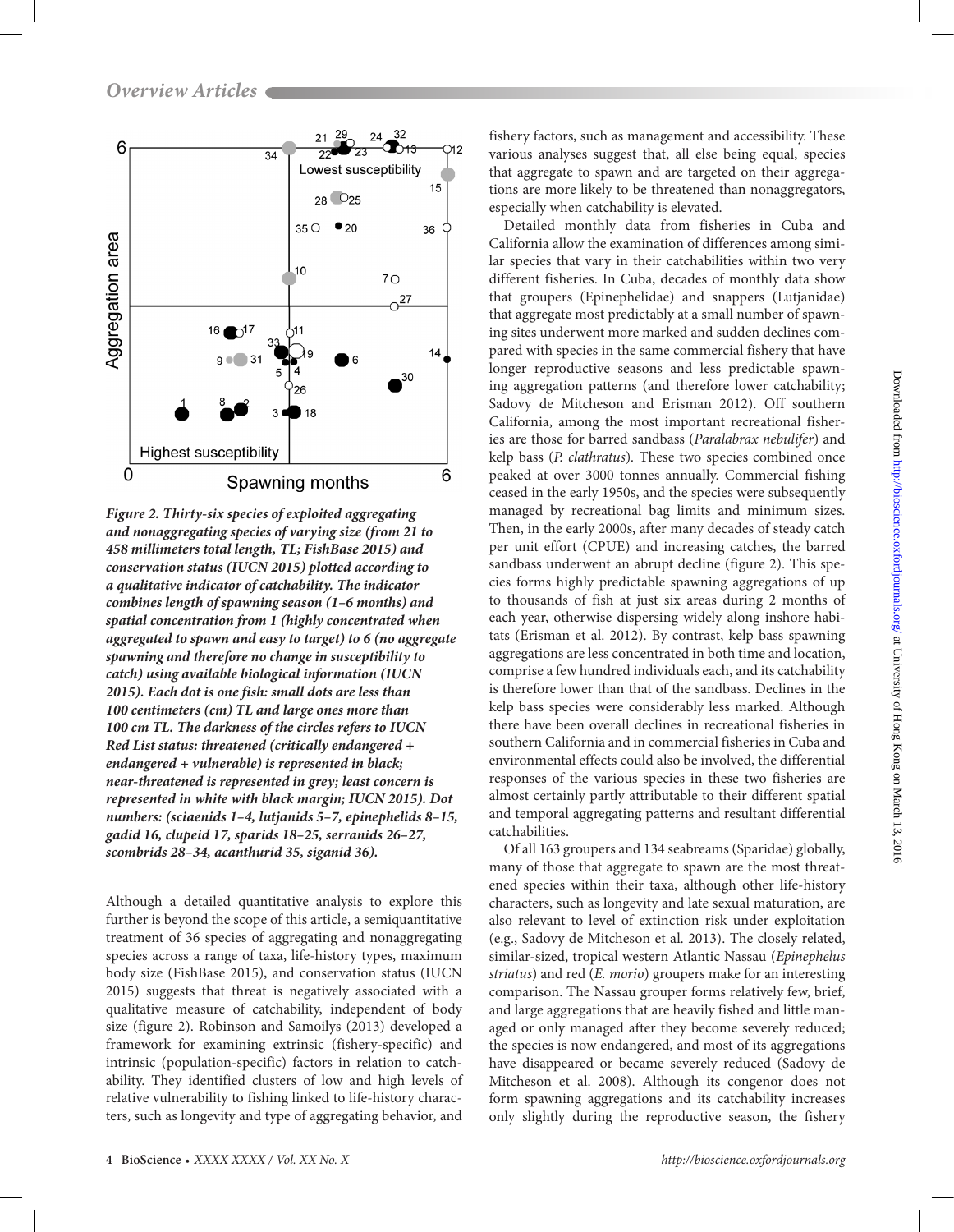

*Figure 2. Thirty-six species of exploited aggregating and nonaggregating species of varying size (from 21 to 458 millimeters total length, TL; FishBase 2015) and conservation status (IUCN 2015) plotted according to a qualitative indicator of catchability. The indicator combines length of spawning season (1–6 months) and spatial concentration from 1 (highly concentrated when aggregated to spawn and easy to target) to 6 (no aggregate spawning and therefore no change in susceptibility to catch) using available biological information (IUCN 2015). Each dot is one fish: small dots are less than 100 centimeters (cm) TL and large ones more than 100 cm TL. The darkness of the circles refers to IUCN Red List status: threatened (critically endangered + endangered + vulnerable) is represented in black; near-threatened is represented in grey; least concern is represented in white with black margin; IUCN 2015). Dot numbers: (sciaenids 1–4, lutjanids 5–7, epinephelids 8–15, gadid 16, clupeid 17, sparids 18–25, serranids 26–27, scombrids 28–34, acanthurid 35, siganid 36).*

Although a detailed quantitative analysis to explore this further is beyond the scope of this article, a semiquantitative treatment of 36 species of aggregating and nonaggregating species across a range of taxa, life-history types, maximum body size (FishBase 2015), and conservation status (IUCN 2015) suggests that threat is negatively associated with a qualitative measure of catchability, independent of body size (figure 2). Robinson and Samoilys (2013) developed a framework for examining extrinsic (fishery-specific) and intrinsic (population-specific) factors in relation to catchability. They identified clusters of low and high levels of relative vulnerability to fishing linked to life-history characters, such as longevity and type of aggregating behavior, and

fishery factors, such as management and accessibility. These various analyses suggest that, all else being equal, species that aggregate to spawn and are targeted on their aggregations are more likely to be threatened than nonaggregators, especially when catchability is elevated.

Detailed monthly data from fisheries in Cuba and California allow the examination of differences among similar species that vary in their catchabilities within two very different fisheries. In Cuba, decades of monthly data show that groupers (Epinephelidae) and snappers (Lutjanidae) that aggregate most predictably at a small number of spawning sites underwent more marked and sudden declines compared with species in the same commercial fishery that have longer reproductive seasons and less predictable spawning aggregation patterns (and therefore lower catchability; Sadovy de Mitcheson and Erisman 2012). Off southern California, among the most important recreational fisheries are those for barred sandbass (*Paralabrax nebulifer*) and kelp bass (*P. clathratus*)*.* These two species combined once peaked at over 3000 tonnes annually. Commercial fishing ceased in the early 1950s, and the species were subsequently managed by recreational bag limits and minimum sizes. Then, in the early 2000s, after many decades of steady catch per unit effort (CPUE) and increasing catches, the barred sandbass underwent an abrupt decline (figure 2). This species forms highly predictable spawning aggregations of up to thousands of fish at just six areas during 2 months of each year, otherwise dispersing widely along inshore habitats (Erisman et al. 2012). By contrast, kelp bass spawning aggregations are less concentrated in both time and location, comprise a few hundred individuals each, and its catchability is therefore lower than that of the sandbass. Declines in the kelp bass species were considerably less marked. Although there have been overall declines in recreational fisheries in southern California and in commercial fisheries in Cuba and environmental effects could also be involved, the differential responses of the various species in these two fisheries are almost certainly partly attributable to their different spatial and temporal aggregating patterns and resultant differential catchabilities.

Of all 163 groupers and 134 seabreams (Sparidae) globally, many of those that aggregate to spawn are the most threatened species within their taxa, although other life-history characters, such as longevity and late sexual maturation, are also relevant to level of extinction risk under exploitation (e.g., Sadovy de Mitcheson et al. 2013). The closely related, similar-sized, tropical western Atlantic Nassau (*Epinephelus striatus*) and red (*E. morio*) groupers make for an interesting comparison. The Nassau grouper forms relatively few, brief, and large aggregations that are heavily fished and little managed or only managed after they become severely reduced; the species is now endangered, and most of its aggregations have disappeared or became severely reduced (Sadovy de Mitcheson et al. 2008). Although its congenor does not form spawning aggregations and its catchability increases only slightly during the reproductive season, the fishery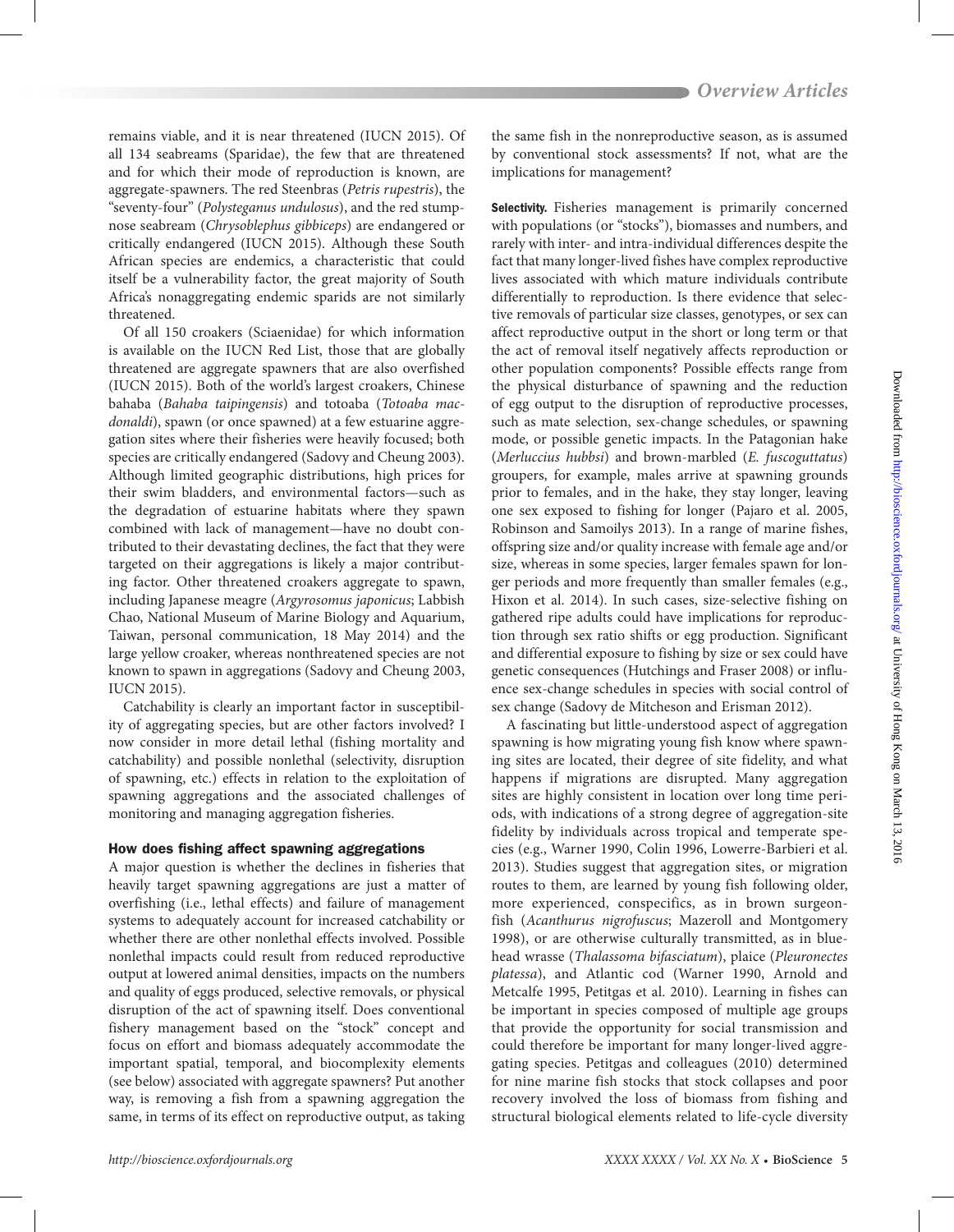remains viable, and it is near threatened (IUCN 2015). Of all 134 seabreams (Sparidae), the few that are threatened and for which their mode of reproduction is known, are aggregate-spawners. The red Steenbras (*Petris rupestris*), the "seventy-four" (*Polysteganus undulosus*), and the red stumpnose seabream (*Chrysoblephus gibbiceps*) are endangered or critically endangered (IUCN 2015). Although these South African species are endemics, a characteristic that could itself be a vulnerability factor, the great majority of South Africa's nonaggregating endemic sparids are not similarly threatened.

Of all 150 croakers (Sciaenidae) for which information is available on the IUCN Red List, those that are globally threatened are aggregate spawners that are also overfished (IUCN 2015). Both of the world's largest croakers, Chinese bahaba (*Bahaba taipingensis*) and totoaba (*Totoaba macdonaldi*), spawn (or once spawned) at a few estuarine aggregation sites where their fisheries were heavily focused; both species are critically endangered (Sadovy and Cheung 2003). Although limited geographic distributions, high prices for their swim bladders, and environmental factors—such as the degradation of estuarine habitats where they spawn combined with lack of management—have no doubt contributed to their devastating declines, the fact that they were targeted on their aggregations is likely a major contributing factor. Other threatened croakers aggregate to spawn, including Japanese meagre (*Argyrosomus japonicus*; Labbish Chao, National Museum of Marine Biology and Aquarium, Taiwan, personal communication, 18 May 2014) and the large yellow croaker, whereas nonthreatened species are not known to spawn in aggregations (Sadovy and Cheung 2003, IUCN 2015).

Catchability is clearly an important factor in susceptibility of aggregating species, but are other factors involved? I now consider in more detail lethal (fishing mortality and catchability) and possible nonlethal (selectivity, disruption of spawning, etc.) effects in relation to the exploitation of spawning aggregations and the associated challenges of monitoring and managing aggregation fisheries.

# How does fishing affect spawning aggregations

A major question is whether the declines in fisheries that heavily target spawning aggregations are just a matter of overfishing (i.e., lethal effects) and failure of management systems to adequately account for increased catchability or whether there are other nonlethal effects involved. Possible nonlethal impacts could result from reduced reproductive output at lowered animal densities, impacts on the numbers and quality of eggs produced, selective removals, or physical disruption of the act of spawning itself. Does conventional fishery management based on the "stock" concept and focus on effort and biomass adequately accommodate the important spatial, temporal, and biocomplexity elements (see below) associated with aggregate spawners? Put another way, is removing a fish from a spawning aggregation the same, in terms of its effect on reproductive output, as taking

the same fish in the nonreproductive season, as is assumed by conventional stock assessments? If not, what are the implications for management?

Selectivity. Fisheries management is primarily concerned with populations (or "stocks"), biomasses and numbers, and rarely with inter- and intra-individual differences despite the fact that many longer-lived fishes have complex reproductive lives associated with which mature individuals contribute differentially to reproduction. Is there evidence that selective removals of particular size classes, genotypes, or sex can affect reproductive output in the short or long term or that the act of removal itself negatively affects reproduction or other population components? Possible effects range from the physical disturbance of spawning and the reduction of egg output to the disruption of reproductive processes, such as mate selection, sex-change schedules, or spawning mode, or possible genetic impacts. In the Patagonian hake (*Merluccius hubbsi*) and brown-marbled (*E. fuscoguttatus*) groupers, for example, males arrive at spawning grounds prior to females, and in the hake, they stay longer, leaving one sex exposed to fishing for longer (Pajaro et al. 2005, Robinson and Samoilys 2013). In a range of marine fishes, offspring size and/or quality increase with female age and/or size, whereas in some species, larger females spawn for longer periods and more frequently than smaller females (e.g., Hixon et al. 2014). In such cases, size-selective fishing on gathered ripe adults could have implications for reproduction through sex ratio shifts or egg production. Significant and differential exposure to fishing by size or sex could have genetic consequences (Hutchings and Fraser 2008) or influence sex-change schedules in species with social control of sex change (Sadovy de Mitcheson and Erisman 2012).

A fascinating but little-understood aspect of aggregation spawning is how migrating young fish know where spawning sites are located, their degree of site fidelity, and what happens if migrations are disrupted. Many aggregation sites are highly consistent in location over long time periods, with indications of a strong degree of aggregation-site fidelity by individuals across tropical and temperate species (e.g., Warner 1990, Colin 1996, Lowerre-Barbieri et al. 2013). Studies suggest that aggregation sites, or migration routes to them, are learned by young fish following older, more experienced, conspecifics, as in brown surgeonfish (*Acanthurus nigrofuscus*; Mazeroll and Montgomery 1998), or are otherwise culturally transmitted, as in bluehead wrasse (*Thalassoma bifasciatum*), plaice (*Pleuronectes platessa*), and Atlantic cod (Warner 1990, Arnold and Metcalfe 1995, Petitgas et al. 2010). Learning in fishes can be important in species composed of multiple age groups that provide the opportunity for social transmission and could therefore be important for many longer-lived aggregating species. Petitgas and colleagues (2010) determined for nine marine fish stocks that stock collapses and poor recovery involved the loss of biomass from fishing and structural biological elements related to life-cycle diversity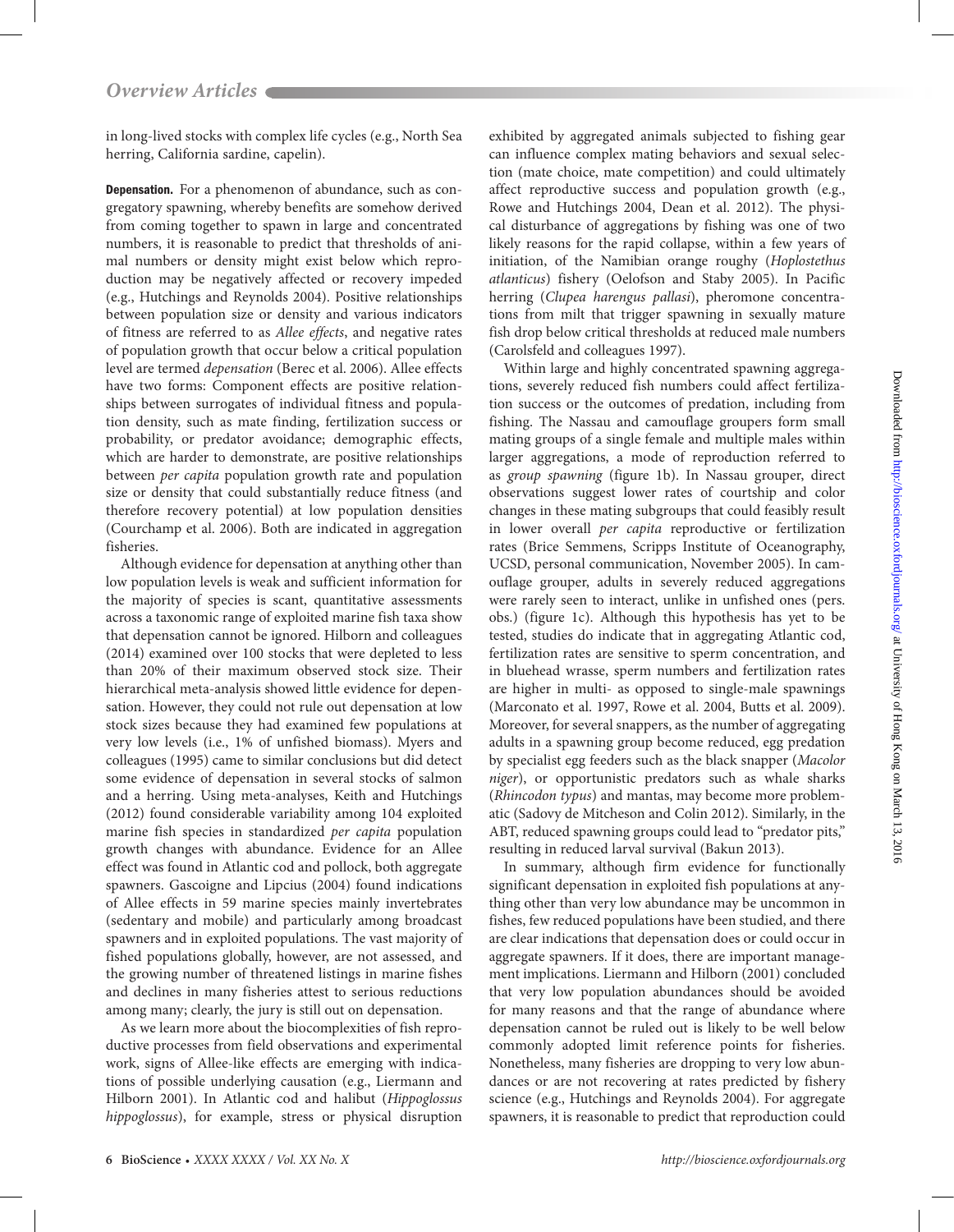in long-lived stocks with complex life cycles (e.g., North Sea herring, California sardine, capelin).

Depensation. For a phenomenon of abundance, such as congregatory spawning, whereby benefits are somehow derived from coming together to spawn in large and concentrated numbers, it is reasonable to predict that thresholds of animal numbers or density might exist below which reproduction may be negatively affected or recovery impeded (e.g., Hutchings and Reynolds 2004). Positive relationships between population size or density and various indicators of fitness are referred to as *Allee effects*, and negative rates of population growth that occur below a critical population level are termed *depensation* (Berec et al. 2006). Allee effects have two forms: Component effects are positive relationships between surrogates of individual fitness and population density, such as mate finding, fertilization success or probability, or predator avoidance; demographic effects, which are harder to demonstrate, are positive relationships between *per capita* population growth rate and population size or density that could substantially reduce fitness (and therefore recovery potential) at low population densities (Courchamp et al. 2006). Both are indicated in aggregation fisheries.

Although evidence for depensation at anything other than low population levels is weak and sufficient information for the majority of species is scant, quantitative assessments across a taxonomic range of exploited marine fish taxa show that depensation cannot be ignored. Hilborn and colleagues (2014) examined over 100 stocks that were depleted to less than 20% of their maximum observed stock size. Their hierarchical meta-analysis showed little evidence for depensation. However, they could not rule out depensation at low stock sizes because they had examined few populations at very low levels (i.e., 1% of unfished biomass). Myers and colleagues (1995) came to similar conclusions but did detect some evidence of depensation in several stocks of salmon and a herring. Using meta-analyses, Keith and Hutchings (2012) found considerable variability among 104 exploited marine fish species in standardized *per capita* population growth changes with abundance. Evidence for an Allee effect was found in Atlantic cod and pollock, both aggregate spawners. Gascoigne and Lipcius (2004) found indications of Allee effects in 59 marine species mainly invertebrates (sedentary and mobile) and particularly among broadcast spawners and in exploited populations. The vast majority of fished populations globally, however, are not assessed, and the growing number of threatened listings in marine fishes and declines in many fisheries attest to serious reductions among many; clearly, the jury is still out on depensation.

As we learn more about the biocomplexities of fish reproductive processes from field observations and experimental work, signs of Allee-like effects are emerging with indications of possible underlying causation (e.g., Liermann and Hilborn 2001). In Atlantic cod and halibut (*Hippoglossus hippoglossus*), for example, stress or physical disruption

exhibited by aggregated animals subjected to fishing gear can influence complex mating behaviors and sexual selection (mate choice, mate competition) and could ultimately affect reproductive success and population growth (e.g., Rowe and Hutchings 2004, Dean et al. 2012). The physical disturbance of aggregations by fishing was one of two likely reasons for the rapid collapse, within a few years of initiation, of the Namibian orange roughy (*Hoplostethus atlanticus*) fishery (Oelofson and Staby 2005). In Pacific herring (*Clupea harengus pallasi*), pheromone concentrations from milt that trigger spawning in sexually mature fish drop below critical thresholds at reduced male numbers (Carolsfeld and colleagues 1997).

Within large and highly concentrated spawning aggregations, severely reduced fish numbers could affect fertilization success or the outcomes of predation, including from fishing. The Nassau and camouflage groupers form small mating groups of a single female and multiple males within larger aggregations, a mode of reproduction referred to as *group spawning* (figure 1b). In Nassau grouper, direct observations suggest lower rates of courtship and color changes in these mating subgroups that could feasibly result in lower overall *per capita* reproductive or fertilization rates (Brice Semmens, Scripps Institute of Oceanography, UCSD, personal communication, November 2005). In camouflage grouper, adults in severely reduced aggregations were rarely seen to interact, unlike in unfished ones (pers. obs.) (figure 1c). Although this hypothesis has yet to be tested, studies do indicate that in aggregating Atlantic cod, fertilization rates are sensitive to sperm concentration, and in bluehead wrasse, sperm numbers and fertilization rates are higher in multi- as opposed to single-male spawnings (Marconato et al. 1997, Rowe et al. 2004, Butts et al. 2009). Moreover, for several snappers, as the number of aggregating adults in a spawning group become reduced, egg predation by specialist egg feeders such as the black snapper (*Macolor niger*), or opportunistic predators such as whale sharks (*Rhincodon typus*) and mantas, may become more problematic (Sadovy de Mitcheson and Colin 2012). Similarly, in the ABT, reduced spawning groups could lead to "predator pits," resulting in reduced larval survival (Bakun 2013).

In summary, although firm evidence for functionally significant depensation in exploited fish populations at anything other than very low abundance may be uncommon in fishes, few reduced populations have been studied, and there are clear indications that depensation does or could occur in aggregate spawners. If it does, there are important management implications. Liermann and Hilborn (2001) concluded that very low population abundances should be avoided for many reasons and that the range of abundance where depensation cannot be ruled out is likely to be well below commonly adopted limit reference points for fisheries. Nonetheless, many fisheries are dropping to very low abundances or are not recovering at rates predicted by fishery science (e.g., Hutchings and Reynolds 2004). For aggregate spawners, it is reasonable to predict that reproduction could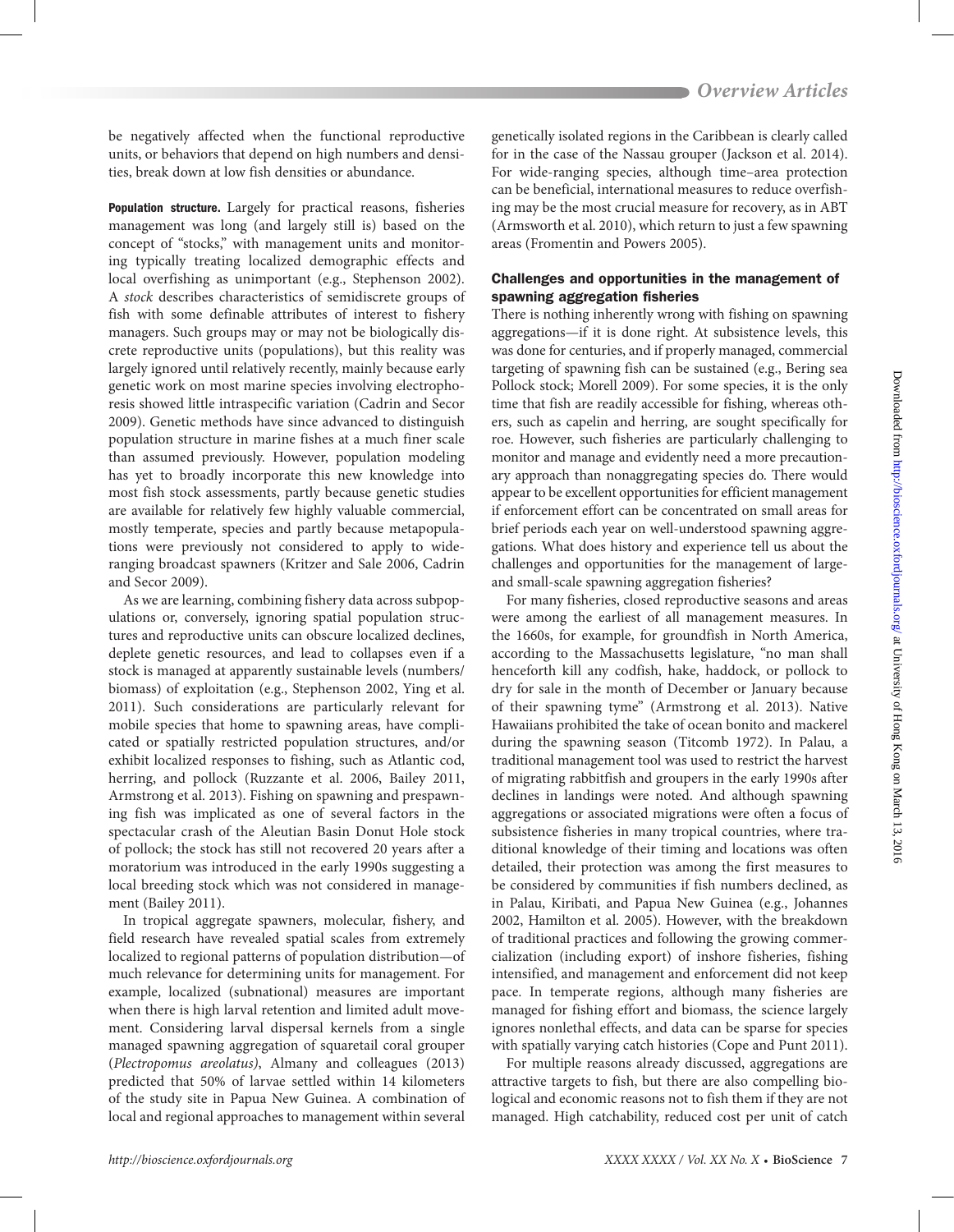be negatively affected when the functional reproductive units, or behaviors that depend on high numbers and densities, break down at low fish densities or abundance.

Population structure. Largely for practical reasons, fisheries management was long (and largely still is) based on the concept of "stocks," with management units and monitoring typically treating localized demographic effects and local overfishing as unimportant (e.g., Stephenson 2002). A *stock* describes characteristics of semidiscrete groups of fish with some definable attributes of interest to fishery managers. Such groups may or may not be biologically discrete reproductive units (populations), but this reality was largely ignored until relatively recently, mainly because early genetic work on most marine species involving electrophoresis showed little intraspecific variation (Cadrin and Secor 2009). Genetic methods have since advanced to distinguish population structure in marine fishes at a much finer scale than assumed previously. However, population modeling has yet to broadly incorporate this new knowledge into most fish stock assessments, partly because genetic studies are available for relatively few highly valuable commercial, mostly temperate, species and partly because metapopulations were previously not considered to apply to wideranging broadcast spawners (Kritzer and Sale 2006, Cadrin and Secor 2009).

As we are learning, combining fishery data across subpopulations or, conversely, ignoring spatial population structures and reproductive units can obscure localized declines, deplete genetic resources, and lead to collapses even if a stock is managed at apparently sustainable levels (numbers/ biomass) of exploitation (e.g., Stephenson 2002, Ying et al. 2011). Such considerations are particularly relevant for mobile species that home to spawning areas, have complicated or spatially restricted population structures, and/or exhibit localized responses to fishing, such as Atlantic cod, herring, and pollock (Ruzzante et al. 2006, Bailey 2011, Armstrong et al. 2013). Fishing on spawning and prespawning fish was implicated as one of several factors in the spectacular crash of the Aleutian Basin Donut Hole stock of pollock; the stock has still not recovered 20 years after a moratorium was introduced in the early 1990s suggesting a local breeding stock which was not considered in management (Bailey 2011).

In tropical aggregate spawners, molecular, fishery, and field research have revealed spatial scales from extremely localized to regional patterns of population distribution—of much relevance for determining units for management. For example, localized (subnational) measures are important when there is high larval retention and limited adult movement. Considering larval dispersal kernels from a single managed spawning aggregation of squaretail coral grouper (*Plectropomus areolatus)*, Almany and colleagues (2013) predicted that 50% of larvae settled within 14 kilometers of the study site in Papua New Guinea. A combination of local and regional approaches to management within several

genetically isolated regions in the Caribbean is clearly called for in the case of the Nassau grouper (Jackson et al. 2014). For wide-ranging species, although time–area protection can be beneficial, international measures to reduce overfishing may be the most crucial measure for recovery, as in ABT (Armsworth et al. 2010), which return to just a few spawning areas (Fromentin and Powers 2005).

# Challenges and opportunities in the management of spawning aggregation fisheries

There is nothing inherently wrong with fishing on spawning aggregations—if it is done right. At subsistence levels, this was done for centuries, and if properly managed, commercial targeting of spawning fish can be sustained (e.g., Bering sea Pollock stock; Morell 2009). For some species, it is the only time that fish are readily accessible for fishing, whereas others, such as capelin and herring, are sought specifically for roe. However, such fisheries are particularly challenging to monitor and manage and evidently need a more precautionary approach than nonaggregating species do. There would appear to be excellent opportunities for efficient management if enforcement effort can be concentrated on small areas for brief periods each year on well-understood spawning aggregations. What does history and experience tell us about the challenges and opportunities for the management of largeand small-scale spawning aggregation fisheries?

For many fisheries, closed reproductive seasons and areas were among the earliest of all management measures. In the 1660s, for example, for groundfish in North America, according to the Massachusetts legislature, "no man shall henceforth kill any codfish, hake, haddock, or pollock to dry for sale in the month of December or January because of their spawning tyme" (Armstrong et al. 2013). Native Hawaiians prohibited the take of ocean bonito and mackerel during the spawning season (Titcomb 1972). In Palau, a traditional management tool was used to restrict the harvest of migrating rabbitfish and groupers in the early 1990s after declines in landings were noted. And although spawning aggregations or associated migrations were often a focus of subsistence fisheries in many tropical countries, where traditional knowledge of their timing and locations was often detailed, their protection was among the first measures to be considered by communities if fish numbers declined, as in Palau, Kiribati, and Papua New Guinea (e.g., Johannes 2002, Hamilton et al. 2005). However, with the breakdown of traditional practices and following the growing commercialization (including export) of inshore fisheries, fishing intensified, and management and enforcement did not keep pace. In temperate regions, although many fisheries are managed for fishing effort and biomass, the science largely ignores nonlethal effects, and data can be sparse for species with spatially varying catch histories (Cope and Punt 2011).

For multiple reasons already discussed, aggregations are attractive targets to fish, but there are also compelling biological and economic reasons not to fish them if they are not managed. High catchability, reduced cost per unit of catch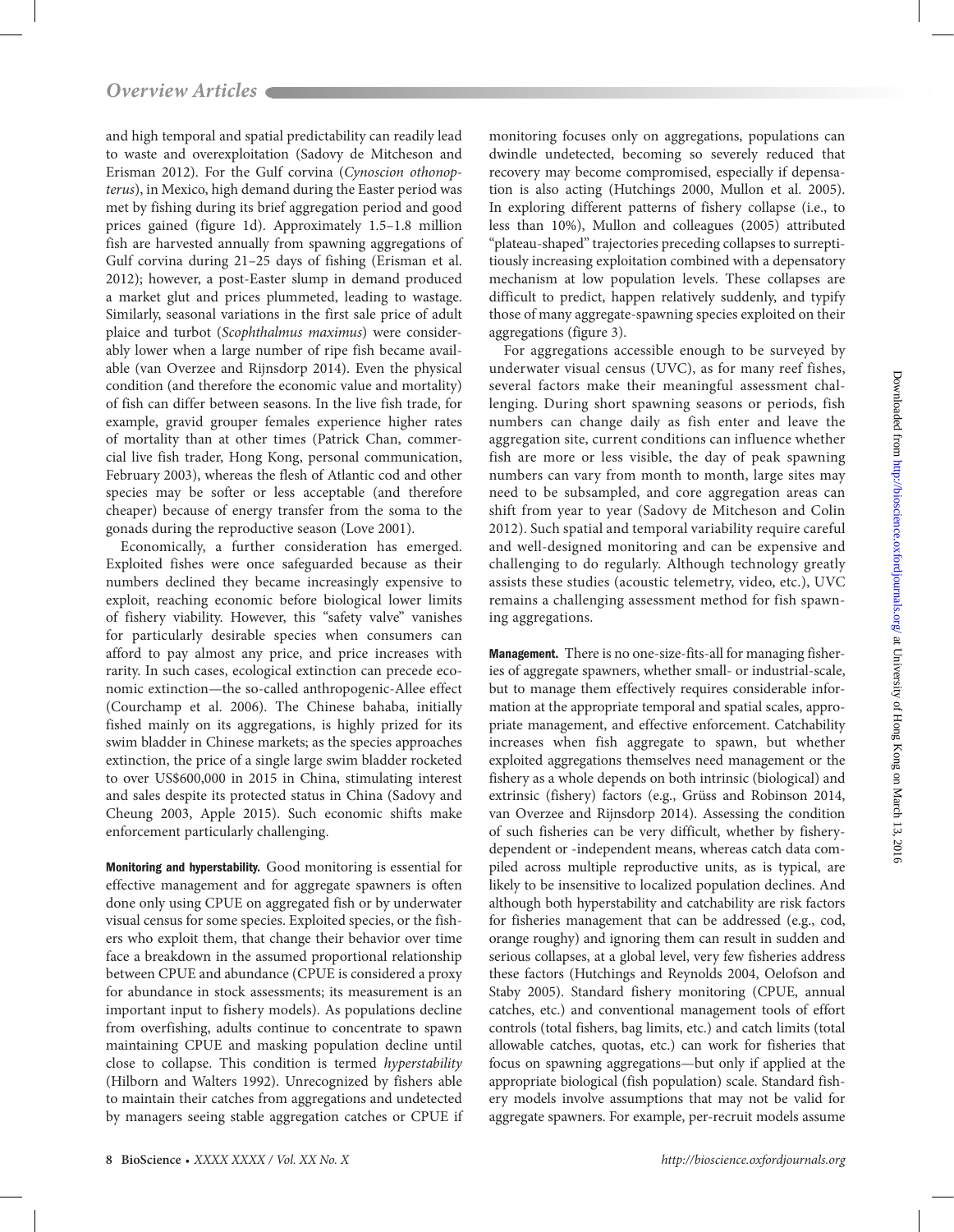and high temporal and spatial predictability can readily lead to waste and overexploitation (Sadovy de Mitcheson and Erisman 2012). For the Gulf corvina (*Cynoscion othonopterus*), in Mexico, high demand during the Easter period was met by fishing during its brief aggregation period and good prices gained (figure 1d). Approximately 1.5–1.8 million fish are harvested annually from spawning aggregations of Gulf corvina during 21–25 days of fishing (Erisman et al. 2012); however, a post-Easter slump in demand produced a market glut and prices plummeted, leading to wastage. Similarly, seasonal variations in the first sale price of adult plaice and turbot (*Scophthalmus maximus*) were considerably lower when a large number of ripe fish became available (van Overzee and Rijnsdorp 2014). Even the physical condition (and therefore the economic value and mortality) of fish can differ between seasons. In the live fish trade, for example, gravid grouper females experience higher rates of mortality than at other times (Patrick Chan, commercial live fish trader, Hong Kong, personal communication, February 2003), whereas the flesh of Atlantic cod and other species may be softer or less acceptable (and therefore cheaper) because of energy transfer from the soma to the gonads during the reproductive season (Love 2001).

Economically, a further consideration has emerged. Exploited fishes were once safeguarded because as their numbers declined they became increasingly expensive to exploit, reaching economic before biological lower limits of fishery viability. However, this "safety valve" vanishes for particularly desirable species when consumers can afford to pay almost any price, and price increases with rarity. In such cases, ecological extinction can precede economic extinction—the so-called anthropogenic-Allee effect (Courchamp et al. 2006). The Chinese bahaba, initially fished mainly on its aggregations, is highly prized for its swim bladder in Chinese markets; as the species approaches extinction, the price of a single large swim bladder rocketed to over US\$600,000 in 2015 in China, stimulating interest and sales despite its protected status in China (Sadovy and Cheung 2003, Apple 2015). Such economic shifts make enforcement particularly challenging.

Monitoring and hyperstability. Good monitoring is essential for effective management and for aggregate spawners is often done only using CPUE on aggregated fish or by underwater visual census for some species. Exploited species, or the fishers who exploit them, that change their behavior over time face a breakdown in the assumed proportional relationship between CPUE and abundance (CPUE is considered a proxy for abundance in stock assessments; its measurement is an important input to fishery models). As populations decline from overfishing, adults continue to concentrate to spawn maintaining CPUE and masking population decline until close to collapse. This condition is termed *hyperstability*  (Hilborn and Walters 1992). Unrecognized by fishers able to maintain their catches from aggregations and undetected by managers seeing stable aggregation catches or CPUE if monitoring focuses only on aggregations, populations can dwindle undetected, becoming so severely reduced that recovery may become compromised, especially if depensation is also acting (Hutchings 2000, Mullon et al. 2005). In exploring different patterns of fishery collapse (i.e., to less than 10%), Mullon and colleagues (2005) attributed "plateau-shaped" trajectories preceding collapses to surreptitiously increasing exploitation combined with a depensatory mechanism at low population levels. These collapses are difficult to predict, happen relatively suddenly, and typify those of many aggregate-spawning species exploited on their aggregations (figure 3).

For aggregations accessible enough to be surveyed by underwater visual census (UVC), as for many reef fishes, several factors make their meaningful assessment challenging. During short spawning seasons or periods, fish numbers can change daily as fish enter and leave the aggregation site, current conditions can influence whether fish are more or less visible, the day of peak spawning numbers can vary from month to month, large sites may need to be subsampled, and core aggregation areas can shift from year to year (Sadovy de Mitcheson and Colin 2012). Such spatial and temporal variability require careful and well-designed monitoring and can be expensive and challenging to do regularly. Although technology greatly assists these studies (acoustic telemetry, video, etc.), UVC remains a challenging assessment method for fish spawning aggregations.

Management. There is no one-size-fits-all for managing fisheries of aggregate spawners, whether small- or industrial-scale, but to manage them effectively requires considerable information at the appropriate temporal and spatial scales, appropriate management, and effective enforcement. Catchability increases when fish aggregate to spawn, but whether exploited aggregations themselves need management or the fishery as a whole depends on both intrinsic (biological) and extrinsic (fishery) factors (e.g., Grüss and Robinson 2014, van Overzee and Rijnsdorp 2014). Assessing the condition of such fisheries can be very difficult, whether by fisherydependent or -independent means, whereas catch data compiled across multiple reproductive units, as is typical, are likely to be insensitive to localized population declines. And although both hyperstability and catchability are risk factors for fisheries management that can be addressed (e.g., cod, orange roughy) and ignoring them can result in sudden and serious collapses, at a global level, very few fisheries address these factors (Hutchings and Reynolds 2004, Oelofson and Staby 2005). Standard fishery monitoring (CPUE, annual catches, etc.) and conventional management tools of effort controls (total fishers, bag limits, etc.) and catch limits (total allowable catches, quotas, etc.) can work for fisheries that focus on spawning aggregations—but only if applied at the appropriate biological (fish population) scale. Standard fishery models involve assumptions that may not be valid for aggregate spawners. For example, per-recruit models assume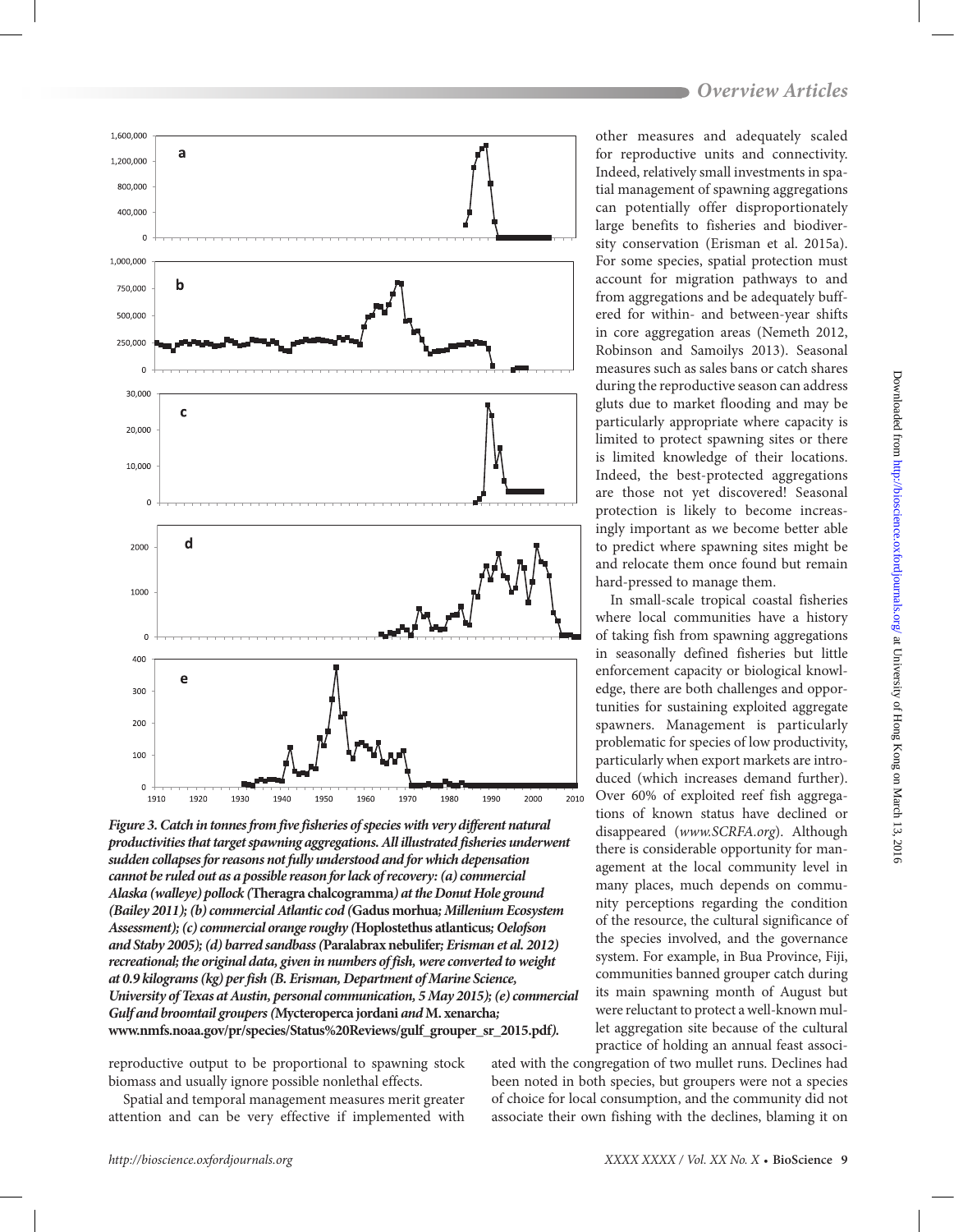



*Figure 3. Catch in tonnes from five fisheries of species with very different natural productivities that target spawning aggregations. All illustrated fisheries underwent sudden collapses for reasons not fully understood and for which depensation cannot be ruled out as a possible reason for lack of recovery: (a) commercial Alaska (walleye) pollock (***Theragra chalcogramma***) at the Donut Hole ground (Bailey 2011); (b) commercial Atlantic cod (***Gadus morhua***; Millenium Ecosystem Assessment); (c) commercial orange roughy (***Hoplostethus atlanticus***; Oelofson and Staby 2005); (d) barred sandbass (***Paralabrax nebulifer***; Erisman et al. 2012) recreational; the original data, given in numbers of fish, were converted to weight at 0.9 kilograms (kg) per fish (B. Erisman, Department of Marine Science, University of Texas at Austin, personal communication, 5 May 2015); (e) commercial Gulf and broomtail groupers (***Mycteroperca jordani** *and* **M. xenarcha***;*  **www.nmfs.noaa.gov/pr/species/Status%20Reviews/gulf\_grouper\_sr\_2015.pdf***).*

reproductive output to be proportional to spawning stock biomass and usually ignore possible nonlethal effects.

Spatial and temporal management measures merit greater attention and can be very effective if implemented with other measures and adequately scaled for reproductive units and connectivity. Indeed, relatively small investments in spatial management of spawning aggregations can potentially offer disproportionately large benefits to fisheries and biodiversity conservation (Erisman et al. 2015a). For some species, spatial protection must account for migration pathways to and from aggregations and be adequately buffered for within- and between-year shifts in core aggregation areas (Nemeth 2012, Robinson and Samoilys 2013). Seasonal measures such as sales bans or catch shares during the reproductive season can address gluts due to market flooding and may be particularly appropriate where capacity is limited to protect spawning sites or there is limited knowledge of their locations. Indeed, the best-protected aggregations are those not yet discovered! Seasonal protection is likely to become increasingly important as we become better able to predict where spawning sites might be and relocate them once found but remain hard-pressed to manage them.

In small-scale tropical coastal fisheries where local communities have a history of taking fish from spawning aggregations in seasonally defined fisheries but little enforcement capacity or biological knowledge, there are both challenges and opportunities for sustaining exploited aggregate spawners. Management is particularly problematic for species of low productivity, particularly when export markets are introduced (which increases demand further). Over 60% of exploited reef fish aggregations of known status have declined or disappeared (*www.SCRFA.org*). Although there is considerable opportunity for management at the local community level in many places, much depends on community perceptions regarding the condition of the resource, the cultural significance of the species involved, and the governance system. For example, in Bua Province, Fiji, communities banned grouper catch during its main spawning month of August but were reluctant to protect a well-known mullet aggregation site because of the cultural practice of holding an annual feast associ-

ated with the congregation of two mullet runs. Declines had been noted in both species, but groupers were not a species of choice for local consumption, and the community did not associate their own fishing with the declines, blaming it on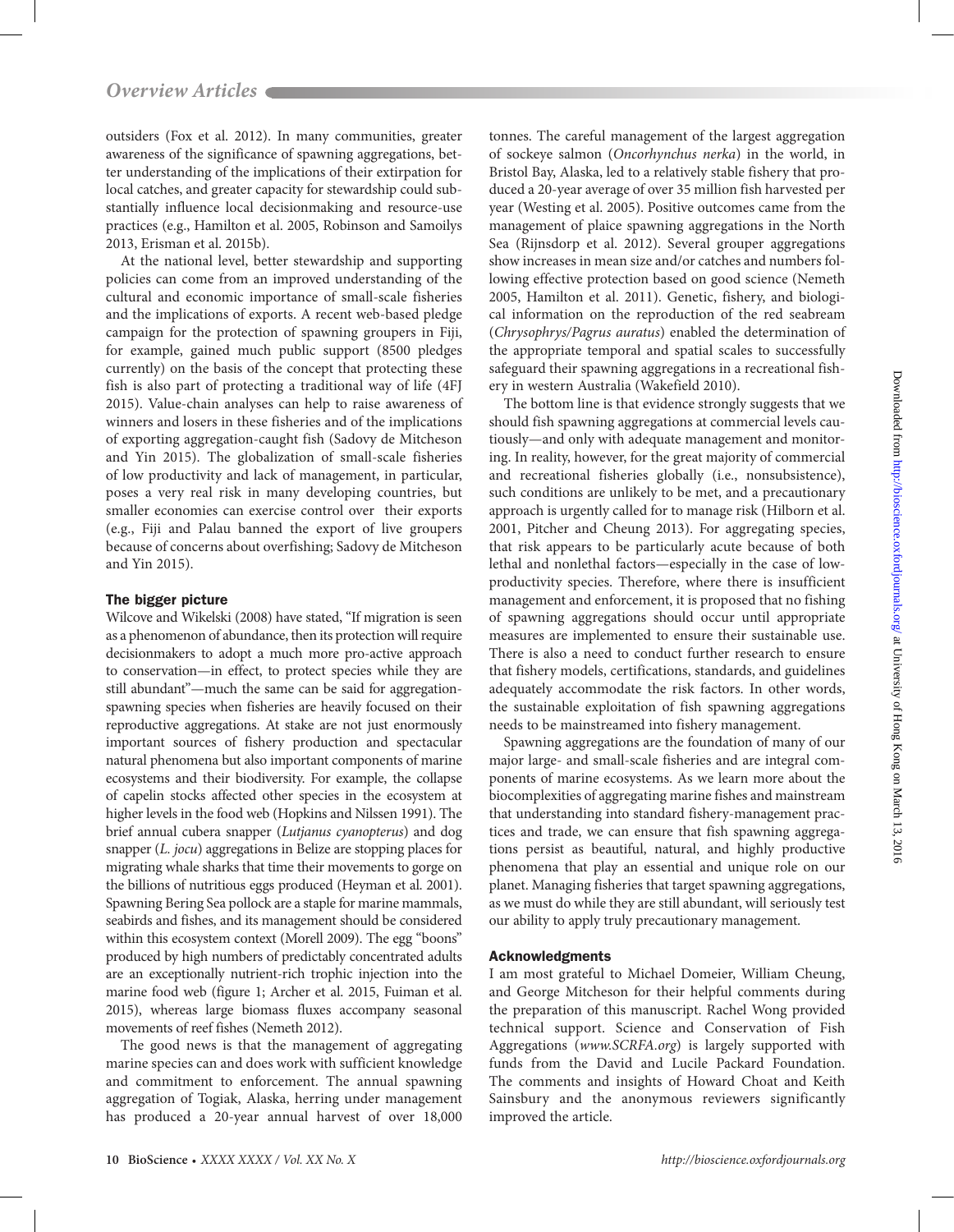outsiders (Fox et al. 2012). In many communities, greater awareness of the significance of spawning aggregations, better understanding of the implications of their extirpation for local catches, and greater capacity for stewardship could substantially influence local decisionmaking and resource-use practices (e.g., Hamilton et al. 2005, Robinson and Samoilys 2013, Erisman et al. 2015b).

At the national level, better stewardship and supporting policies can come from an improved understanding of the cultural and economic importance of small-scale fisheries and the implications of exports. A recent web-based pledge campaign for the protection of spawning groupers in Fiji, for example, gained much public support (8500 pledges currently) on the basis of the concept that protecting these fish is also part of protecting a traditional way of life (4FJ 2015). Value-chain analyses can help to raise awareness of winners and losers in these fisheries and of the implications of exporting aggregation-caught fish (Sadovy de Mitcheson and Yin 2015). The globalization of small-scale fisheries of low productivity and lack of management, in particular, poses a very real risk in many developing countries, but smaller economies can exercise control over their exports (e.g., Fiji and Palau banned the export of live groupers because of concerns about overfishing; Sadovy de Mitcheson and Yin 2015).

#### The bigger picture

Wilcove and Wikelski (2008) have stated, "If migration is seen as a phenomenon of abundance, then its protection will require decisionmakers to adopt a much more pro-active approach to conservation—in effect, to protect species while they are still abundant"—much the same can be said for aggregationspawning species when fisheries are heavily focused on their reproductive aggregations. At stake are not just enormously important sources of fishery production and spectacular natural phenomena but also important components of marine ecosystems and their biodiversity. For example, the collapse of capelin stocks affected other species in the ecosystem at higher levels in the food web (Hopkins and Nilssen 1991). The brief annual cubera snapper (*Lutjanus cyanopterus*) and dog snapper (*L. jocu*) aggregations in Belize are stopping places for migrating whale sharks that time their movements to gorge on the billions of nutritious eggs produced (Heyman et al. 2001). Spawning Bering Sea pollock are a staple for marine mammals, seabirds and fishes, and its management should be considered within this ecosystem context (Morell 2009). The egg "boons" produced by high numbers of predictably concentrated adults are an exceptionally nutrient-rich trophic injection into the marine food web (figure 1; Archer et al. 2015, Fuiman et al. 2015), whereas large biomass fluxes accompany seasonal movements of reef fishes (Nemeth 2012).

The good news is that the management of aggregating marine species can and does work with sufficient knowledge and commitment to enforcement. The annual spawning aggregation of Togiak, Alaska, herring under management has produced a 20-year annual harvest of over 18,000 tonnes. The careful management of the largest aggregation of sockeye salmon (*Oncorhynchus nerka*) in the world, in Bristol Bay, Alaska, led to a relatively stable fishery that produced a 20-year average of over 35 million fish harvested per year (Westing et al. 2005). Positive outcomes came from the management of plaice spawning aggregations in the North Sea (Rijnsdorp et al. 2012). Several grouper aggregations show increases in mean size and/or catches and numbers following effective protection based on good science (Nemeth 2005, Hamilton et al. 2011). Genetic, fishery, and biological information on the reproduction of the red seabream (*Chrysophrys/Pagrus auratus*) enabled the determination of the appropriate temporal and spatial scales to successfully safeguard their spawning aggregations in a recreational fishery in western Australia (Wakefield 2010).

The bottom line is that evidence strongly suggests that we should fish spawning aggregations at commercial levels cautiously—and only with adequate management and monitoring. In reality, however, for the great majority of commercial and recreational fisheries globally (i.e., nonsubsistence), such conditions are unlikely to be met, and a precautionary approach is urgently called for to manage risk (Hilborn et al. 2001, Pitcher and Cheung 2013). For aggregating species, that risk appears to be particularly acute because of both lethal and nonlethal factors—especially in the case of lowproductivity species. Therefore, where there is insufficient management and enforcement, it is proposed that no fishing of spawning aggregations should occur until appropriate measures are implemented to ensure their sustainable use. There is also a need to conduct further research to ensure that fishery models, certifications, standards, and guidelines adequately accommodate the risk factors. In other words, the sustainable exploitation of fish spawning aggregations needs to be mainstreamed into fishery management.

Spawning aggregations are the foundation of many of our major large- and small-scale fisheries and are integral components of marine ecosystems. As we learn more about the biocomplexities of aggregating marine fishes and mainstream that understanding into standard fishery-management practices and trade, we can ensure that fish spawning aggregations persist as beautiful, natural, and highly productive phenomena that play an essential and unique role on our planet. Managing fisheries that target spawning aggregations, as we must do while they are still abundant, will seriously test our ability to apply truly precautionary management.

#### Acknowledgments

I am most grateful to Michael Domeier, William Cheung, and George Mitcheson for their helpful comments during the preparation of this manuscript. Rachel Wong provided technical support. Science and Conservation of Fish Aggregations (*www.SCRFA.org*) is largely supported with funds from the David and Lucile Packard Foundation. The comments and insights of Howard Choat and Keith Sainsbury and the anonymous reviewers significantly improved the article.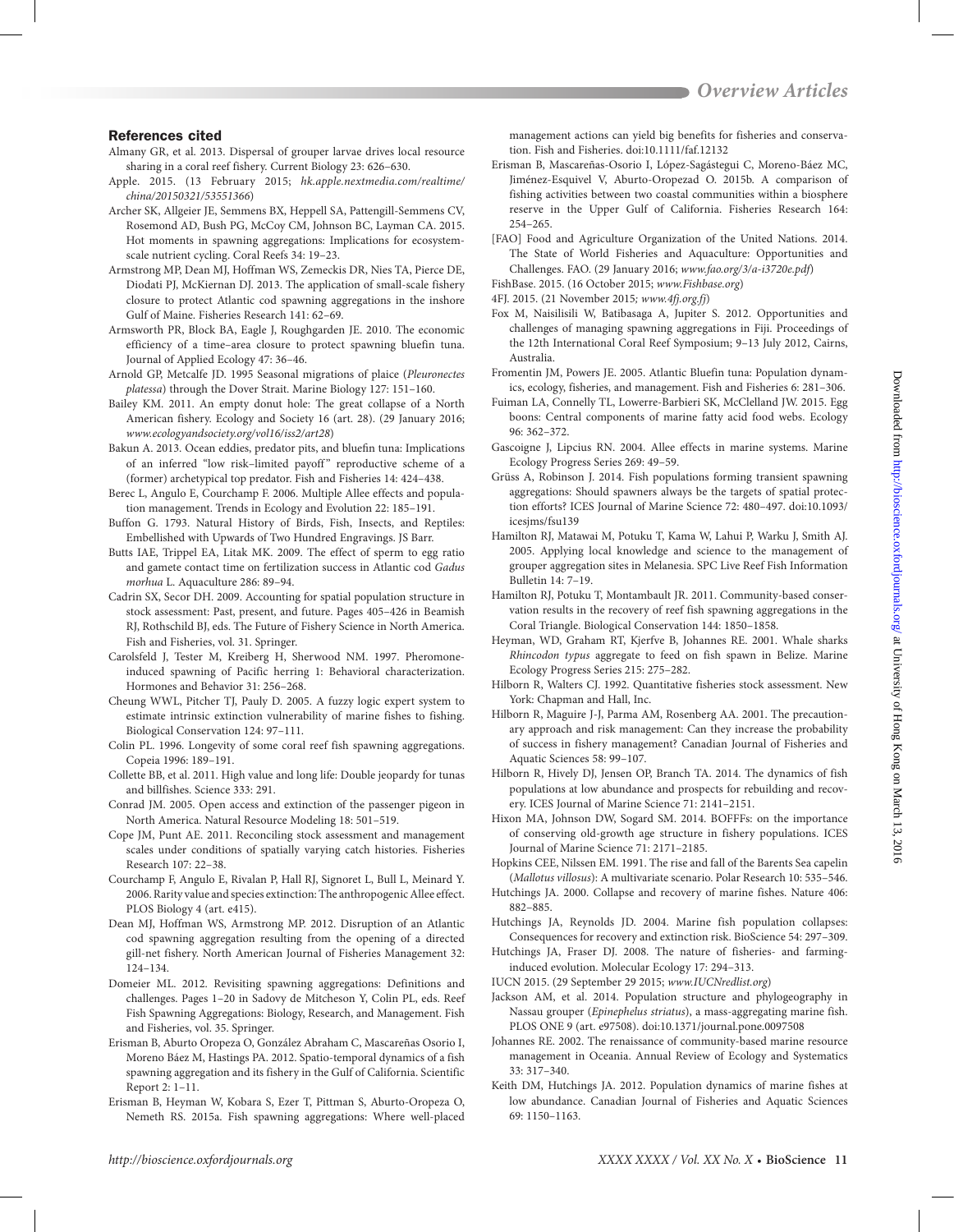#### References cited

- Almany GR, et al. 2013. Dispersal of grouper larvae drives local resource sharing in a coral reef fishery. Current Biology 23: 626–630.
- Apple. 2015. (13 February 2015; *hk.apple.nextmedia.com/realtime/ china/20150321/53551366*)
- Archer SK, Allgeier JE, Semmens BX, Heppell SA, Pattengill-Semmens CV, Rosemond AD, Bush PG, McCoy CM, Johnson BC, Layman CA. 2015. Hot moments in spawning aggregations: Implications for ecosystemscale nutrient cycling. Coral Reefs 34: 19–23.
- Armstrong MP, Dean MJ, Hoffman WS, Zemeckis DR, Nies TA, Pierce DE, Diodati PJ, McKiernan DJ. 2013. The application of small-scale fishery closure to protect Atlantic cod spawning aggregations in the inshore Gulf of Maine. Fisheries Research 141: 62–69.
- Armsworth PR, Block BA, Eagle J, Roughgarden JE. 2010. The economic efficiency of a time–area closure to protect spawning bluefin tuna. Journal of Applied Ecology 47: 36–46.
- Arnold GP, Metcalfe JD. 1995 Seasonal migrations of plaice (*Pleuronectes platessa*) through the Dover Strait. Marine Biology 127: 151–160.
- Bailey KM. 2011. An empty donut hole: The great collapse of a North American fishery. Ecology and Society 16 (art. 28). (29 January 2016; *www.ecologyandsociety.org/vol16/iss2/art28*)
- Bakun A. 2013. Ocean eddies, predator pits, and bluefin tuna: Implications of an inferred "low risk-limited payoff" reproductive scheme of a (former) archetypical top predator. Fish and Fisheries 14: 424–438.
- Berec L, Angulo E, Courchamp F. 2006. Multiple Allee effects and population management. Trends in Ecology and Evolution 22: 185–191.
- Buffon G. 1793. Natural History of Birds, Fish, Insects, and Reptiles: Embellished with Upwards of Two Hundred Engravings. JS Barr.
- Butts IAE, Trippel EA, Litak MK. 2009. The effect of sperm to egg ratio and gamete contact time on fertilization success in Atlantic cod *Gadus morhua* L. Aquaculture 286: 89–94.
- Cadrin SX, Secor DH. 2009. Accounting for spatial population structure in stock assessment: Past, present, and future. Pages 405–426 in Beamish RJ, Rothschild BJ, eds. The Future of Fishery Science in North America. Fish and Fisheries, vol. 31. Springer.
- Carolsfeld J, Tester M, Kreiberg H, Sherwood NM. 1997. Pheromoneinduced spawning of Pacific herring 1: Behavioral characterization. Hormones and Behavior 31: 256–268.
- Cheung WWL, Pitcher TJ, Pauly D. 2005. A fuzzy logic expert system to estimate intrinsic extinction vulnerability of marine fishes to fishing. Biological Conservation 124: 97–111.
- Colin PL. 1996. Longevity of some coral reef fish spawning aggregations. Copeia 1996: 189–191.
- Collette BB, et al. 2011. High value and long life: Double jeopardy for tunas and billfishes. Science 333: 291.
- Conrad JM. 2005. Open access and extinction of the passenger pigeon in North America. Natural Resource Modeling 18: 501–519.
- Cope JM, Punt AE. 2011. Reconciling stock assessment and management scales under conditions of spatially varying catch histories. Fisheries Research 107: 22–38.
- Courchamp F, Angulo E, Rivalan P, Hall RJ, Signoret L, Bull L, Meinard Y. 2006. Rarity value and species extinction: The anthropogenic Allee effect. PLOS Biology 4 (art. e415).
- Dean MJ, Hoffman WS, Armstrong MP. 2012. Disruption of an Atlantic cod spawning aggregation resulting from the opening of a directed gill-net fishery. North American Journal of Fisheries Management 32: 124–134.
- Domeier ML. 2012. Revisiting spawning aggregations: Definitions and challenges. Pages 1–20 in Sadovy de Mitcheson Y, Colin PL, eds. Reef Fish Spawning Aggregations: Biology, Research, and Management. Fish and Fisheries, vol. 35. Springer.
- Erisman B, Aburto Oropeza O, González Abraham C, Mascareñas Osorio I, Moreno Báez M, Hastings PA. 2012. Spatio-temporal dynamics of a fish spawning aggregation and its fishery in the Gulf of California. Scientific Report 2: 1–11.
- Erisman B, Heyman W, Kobara S, Ezer T, Pittman S, Aburto-Oropeza O, Nemeth RS. 2015a. Fish spawning aggregations: Where well-placed

management actions can yield big benefits for fisheries and conservation. Fish and Fisheries. doi:10.1111/faf.12132

- Erisman B, Mascareñas-Osorio I, López-Sagástegui C, Moreno-Báez MC, Jiménez-Esquivel V, Aburto-Oropezad O. 2015b. A comparison of fishing activities between two coastal communities within a biosphere reserve in the Upper Gulf of California. Fisheries Research 164: 254–265.
- [FAO] Food and Agriculture Organization of the United Nations. 2014. The State of World Fisheries and Aquaculture: Opportunities and Challenges. FAO. (29 January 2016; *www.fao.org/3/a-i3720e.pdf*)
- FishBase. 2015. (16 October 2015; *www.Fishbase.org*)
- 4FJ. 2015. (21 November 2015*; www.4fj.org.fj*)
- Fox M, Naisilisili W, Batibasaga A, Jupiter S. 2012. Opportunities and challenges of managing spawning aggregations in Fiji. Proceedings of the 12th International Coral Reef Symposium; 9–13 July 2012, Cairns, Australia.
- Fromentin JM, Powers JE. 2005. Atlantic Bluefin tuna: Population dynamics, ecology, fisheries, and management. Fish and Fisheries 6: 281–306.
- Fuiman LA, Connelly TL, Lowerre-Barbieri SK, McClelland JW. 2015. Egg boons: Central components of marine fatty acid food webs. Ecology 96: 362–372.
- Gascoigne J, Lipcius RN. 2004. Allee effects in marine systems. Marine Ecology Progress Series 269: 49–59.
- Grüss A, Robinson J. 2014. Fish populations forming transient spawning aggregations: Should spawners always be the targets of spatial protection efforts? ICES Journal of Marine Science 72: 480–497. doi:10.1093/ icesjms/fsu139
- Hamilton RJ, Matawai M, Potuku T, Kama W, Lahui P, Warku J, Smith AJ. 2005. Applying local knowledge and science to the management of grouper aggregation sites in Melanesia. SPC Live Reef Fish Information Bulletin 14: 7–19.
- Hamilton RJ, Potuku T, Montambault JR. 2011. Community-based conservation results in the recovery of reef fish spawning aggregations in the Coral Triangle. Biological Conservation 144: 1850–1858.
- Heyman, WD, Graham RT, Kjerfve B, Johannes RE. 2001. Whale sharks *Rhincodon typus* aggregate to feed on fish spawn in Belize. Marine Ecology Progress Series 215: 275–282.
- Hilborn R, Walters CJ. 1992. Quantitative fisheries stock assessment. New York: Chapman and Hall, Inc.
- Hilborn R, Maguire J-J, Parma AM, Rosenberg AA. 2001. The precautionary approach and risk management: Can they increase the probability of success in fishery management? Canadian Journal of Fisheries and Aquatic Sciences 58: 99–107.
- Hilborn R, Hively DJ, Jensen OP, Branch TA. 2014. The dynamics of fish populations at low abundance and prospects for rebuilding and recovery. ICES Journal of Marine Science 71: 2141–2151.
- Hixon MA, Johnson DW, Sogard SM. 2014. BOFFFs: on the importance of conserving old-growth age structure in fishery populations. ICES Journal of Marine Science 71: 2171–2185.
- Hopkins CEE, Nilssen EM. 1991. The rise and fall of the Barents Sea capelin (*Mallotus villosus*): A multivariate scenario. Polar Research 10: 535–546.
- Hutchings JA. 2000. Collapse and recovery of marine fishes. Nature 406: 882–885.
- Hutchings JA, Reynolds JD. 2004. Marine fish population collapses: Consequences for recovery and extinction risk. BioScience 54: 297–309.
- Hutchings JA, Fraser DJ. 2008. The nature of fisheries- and farminginduced evolution. Molecular Ecology 17: 294–313.
- IUCN 2015. (29 September 29 2015; *www.IUCNredlist.org*)
- Jackson AM, et al. 2014. Population structure and phylogeography in Nassau grouper (*Epinephelus striatus*), a mass-aggregating marine fish. PLOS ONE 9 (art. e97508). doi:10.1371/journal.pone.0097508
- Johannes RE. 2002. The renaissance of community-based marine resource management in Oceania. Annual Review of Ecology and Systematics 33: 317–340.
- Keith DM, Hutchings JA. 2012. Population dynamics of marine fishes at low abundance. Canadian Journal of Fisheries and Aquatic Sciences 69: 1150–1163.